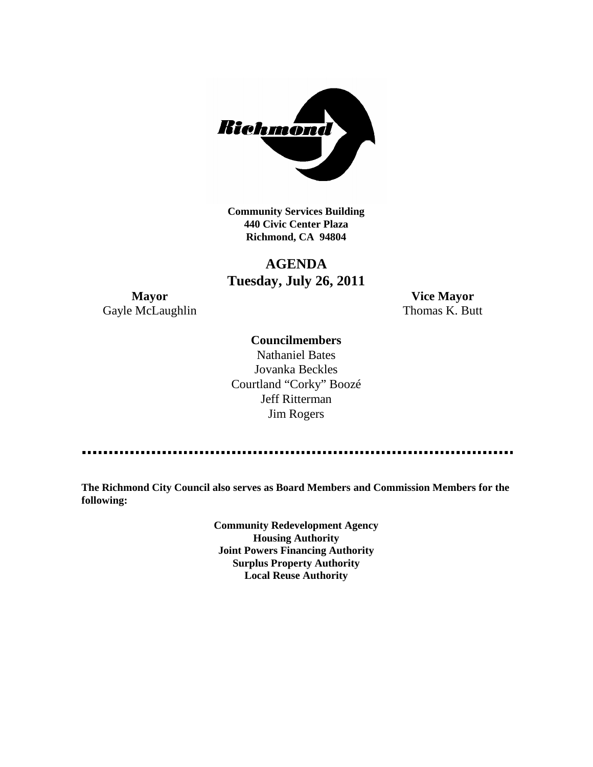

**Community Services Building 440 Civic Center Plaza Richmond, CA 94804**

## **AGENDA Tuesday, July 26, 2011**

**Mayor Vice Mayor** Gayle McLaughlin Thomas K. Butt

#### **Councilmembers**

Nathaniel Bates Jovanka Beckles Courtland "Corky" Boozé Jeff Ritterman Jim Rogers

**The Richmond City Council also serves as Board Members and Commission Members for the following:**

> **Community Redevelopment Agency Housing Authority Joint Powers Financing Authority Surplus Property Authority Local Reuse Authority**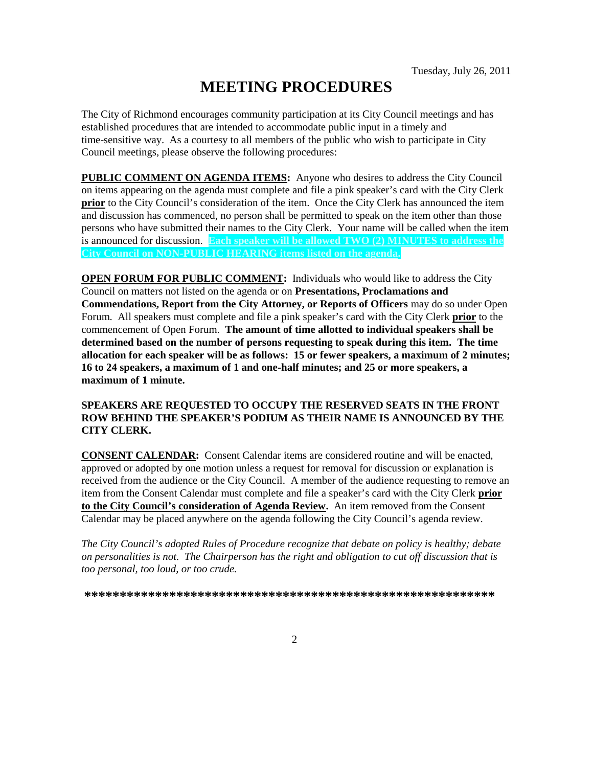# **MEETING PROCEDURES**

The City of Richmond encourages community participation at its City Council meetings and has established procedures that are intended to accommodate public input in a timely and time-sensitive way. As a courtesy to all members of the public who wish to participate in City Council meetings, please observe the following procedures:

**PUBLIC COMMENT ON AGENDA ITEMS:** Anyone who desires to address the City Council on items appearing on the agenda must complete and file a pink speaker's card with the City Clerk **prior** to the City Council's consideration of the item. Once the City Clerk has announced the item and discussion has commenced, no person shall be permitted to speak on the item other than those persons who have submitted their names to the City Clerk. Your name will be called when the item is announced for discussion. **Each speaker will be allowed TWO (2) MINUTES to address the City Council on NON-PUBLIC HEARING items listed on the agenda.**

**OPEN FORUM FOR PUBLIC COMMENT:** Individuals who would like to address the City Council on matters not listed on the agenda or on **Presentations, Proclamations and Commendations, Report from the City Attorney, or Reports of Officers** may do so under Open Forum. All speakers must complete and file a pink speaker's card with the City Clerk **prior** to the commencement of Open Forum. **The amount of time allotted to individual speakers shall be determined based on the number of persons requesting to speak during this item. The time allocation for each speaker will be as follows: 15 or fewer speakers, a maximum of 2 minutes; 16 to 24 speakers, a maximum of 1 and one-half minutes; and 25 or more speakers, a maximum of 1 minute.**

#### **SPEAKERS ARE REQUESTED TO OCCUPY THE RESERVED SEATS IN THE FRONT ROW BEHIND THE SPEAKER'S PODIUM AS THEIR NAME IS ANNOUNCED BY THE CITY CLERK.**

**CONSENT CALENDAR:** Consent Calendar items are considered routine and will be enacted, approved or adopted by one motion unless a request for removal for discussion or explanation is received from the audience or the City Council. A member of the audience requesting to remove an item from the Consent Calendar must complete and file a speaker's card with the City Clerk **prior to the City Council's consideration of Agenda Review.** An item removed from the Consent Calendar may be placed anywhere on the agenda following the City Council's agenda review.

*The City Council's adopted Rules of Procedure recognize that debate on policy is healthy; debate on personalities is not. The Chairperson has the right and obligation to cut off discussion that is too personal, too loud, or too crude.*

**\*\*\*\*\*\*\*\*\*\*\*\*\*\*\*\*\*\*\*\*\*\*\*\*\*\*\*\*\*\*\*\*\*\*\*\*\*\*\*\*\*\*\*\*\*\*\*\*\*\*\*\*\*\*\*\*\*\***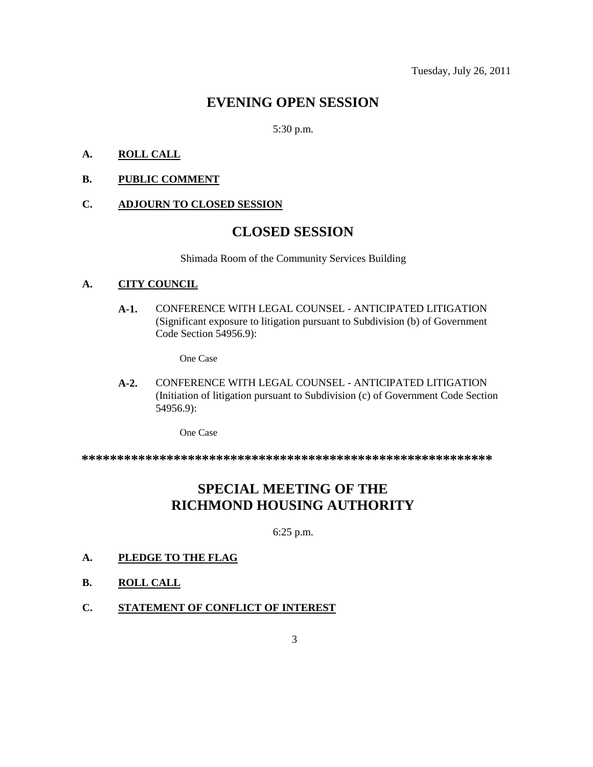### **EVENING OPEN SESSION**

5:30 p.m.

#### **A. ROLL CALL**

#### **B. PUBLIC COMMENT**

#### **C. ADJOURN TO CLOSED SESSION**

### **CLOSED SESSION**

Shimada Room of the Community Services Building

#### **A. CITY COUNCIL**

**A-1.** CONFERENCE WITH LEGAL COUNSEL - ANTICIPATED LITIGATION (Significant exposure to litigation pursuant to Subdivision (b) of Government Code Section 54956.9):

One Case

**A-2.** CONFERENCE WITH LEGAL COUNSEL - ANTICIPATED LITIGATION (Initiation of litigation pursuant to Subdivision (c) of Government Code Section 54956.9):

One Case

**\*\*\*\*\*\*\*\*\*\*\*\*\*\*\*\*\*\*\*\*\*\*\*\*\*\*\*\*\*\*\*\*\*\*\*\*\*\*\*\*\*\*\*\*\*\*\*\*\*\*\*\*\*\*\*\*\*\***

### **SPECIAL MEETING OF THE RICHMOND HOUSING AUTHORITY**

6:25 p.m.

#### **A. PLEDGE TO THE FLAG**

- **B. ROLL CALL**
- **C. STATEMENT OF CONFLICT OF INTEREST**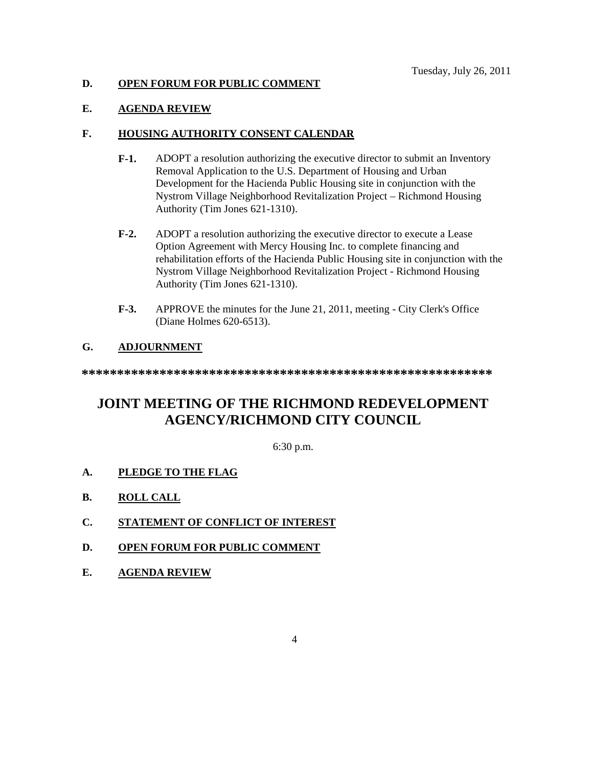#### **D. OPEN FORUM FOR PUBLIC COMMENT**

#### **E. AGENDA REVIEW**

#### **F. HOUSING AUTHORITY CONSENT CALENDAR**

- **F-1.** ADOPT a resolution authorizing the executive director to submit an Inventory Removal Application to the U.S. Department of Housing and Urban Development for the Hacienda Public Housing site in conjunction with the Nystrom Village Neighborhood Revitalization Project – Richmond Housing Authority (Tim Jones 621-1310).
- **F-2.** ADOPT a resolution authorizing the executive director to execute a Lease Option Agreement with Mercy Housing Inc. to complete financing and rehabilitation efforts of the Hacienda Public Housing site in conjunction with the Nystrom Village Neighborhood Revitalization Project - Richmond Housing Authority (Tim Jones 621-1310).
- **F-3.** APPROVE the minutes for the June 21, 2011, meeting City Clerk's Office (Diane Holmes 620-6513).

#### **G. ADJOURNMENT**

**\*\*\*\*\*\*\*\*\*\*\*\*\*\*\*\*\*\*\*\*\*\*\*\*\*\*\*\*\*\*\*\*\*\*\*\*\*\*\*\*\*\*\*\*\*\*\*\*\*\*\*\*\*\*\*\*\*\***

## **JOINT MEETING OF THE RICHMOND REDEVELOPMENT AGENCY/RICHMOND CITY COUNCIL**

6:30 p.m.

#### **A. PLEDGE TO THE FLAG**

- **B. ROLL CALL**
- **C. STATEMENT OF CONFLICT OF INTEREST**
- **D. OPEN FORUM FOR PUBLIC COMMENT**
- **E. AGENDA REVIEW**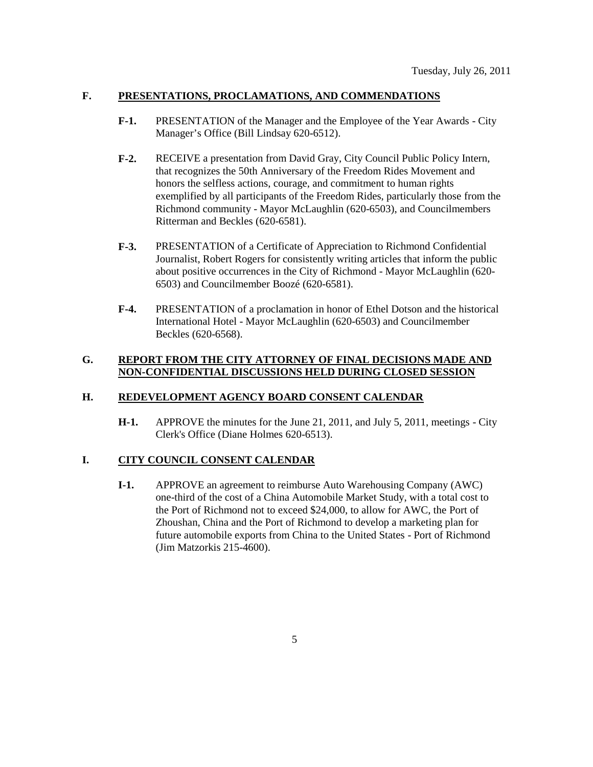#### **F. PRESENTATIONS, PROCLAMATIONS, AND COMMENDATIONS**

- **F-1.** PRESENTATION of the Manager and the Employee of the Year Awards City Manager's Office (Bill Lindsay 620-6512).
- **F-2.** RECEIVE a presentation from David Gray, City Council Public Policy Intern, that recognizes the 50th Anniversary of the Freedom Rides Movement and honors the selfless actions, courage, and commitment to human rights exemplified by all participants of the Freedom Rides, particularly those from the Richmond community - Mayor McLaughlin (620-6503), and Councilmembers Ritterman and Beckles (620-6581).
- **F-3.** PRESENTATION of a Certificate of Appreciation to Richmond Confidential Journalist, Robert Rogers for consistently writing articles that inform the public about positive occurrences in the City of Richmond - Mayor McLaughlin (620- 6503) and Councilmember Boozé (620-6581).
- **F-4.** PRESENTATION of a proclamation in honor of Ethel Dotson and the historical International Hotel - Mayor McLaughlin (620-6503) and Councilmember Beckles (620-6568).

#### **G. REPORT FROM THE CITY ATTORNEY OF FINAL DECISIONS MADE AND NON-CONFIDENTIAL DISCUSSIONS HELD DURING CLOSED SESSION**

#### **H. REDEVELOPMENT AGENCY BOARD CONSENT CALENDAR**

**H-1.** APPROVE the minutes for the June 21, 2011, and July 5, 2011, meetings - City Clerk's Office (Diane Holmes 620-6513).

#### **I. CITY COUNCIL CONSENT CALENDAR**

**I-1.** APPROVE an agreement to reimburse Auto Warehousing Company (AWC) one-third of the cost of a China Automobile Market Study, with a total cost to the Port of Richmond not to exceed \$24,000, to allow for AWC, the Port of Zhoushan, China and the Port of Richmond to develop a marketing plan for future automobile exports from China to the United States - Port of Richmond (Jim Matzorkis 215-4600).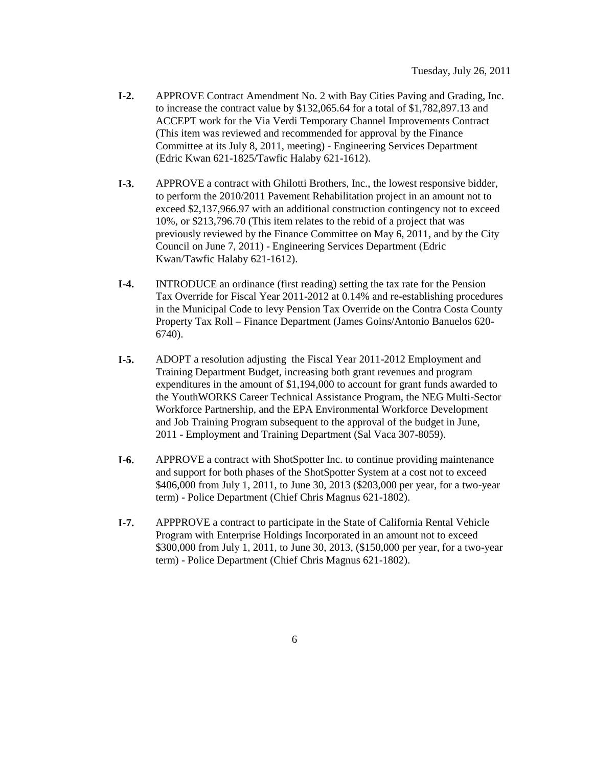- **I-2.** APPROVE Contract Amendment No. 2 with Bay Cities Paving and Grading, Inc. to increase the contract value by \$132,065.64 for a total of \$1,782,897.13 and ACCEPT work for the Via Verdi Temporary Channel Improvements Contract (This item was reviewed and recommended for approval by the Finance Committee at its July 8, 2011, meeting) - Engineering Services Department (Edric Kwan 621-1825/Tawfic Halaby 621-1612).
- **I-3.** APPROVE a contract with Ghilotti Brothers, Inc., the lowest responsive bidder, to perform the 2010/2011 Pavement Rehabilitation project in an amount not to exceed \$2,137,966.97 with an additional construction contingency not to exceed 10%, or \$213,796.70 (This item relates to the rebid of a project that was previously reviewed by the Finance Committee on May 6, 2011, and by the City Council on June 7, 2011) - Engineering Services Department (Edric Kwan/Tawfic Halaby 621-1612).
- **I-4.** INTRODUCE an ordinance (first reading) setting the tax rate for the Pension Tax Override for Fiscal Year 2011-2012 at 0.14% and re-establishing procedures in the Municipal Code to levy Pension Tax Override on the Contra Costa County Property Tax Roll – Finance Department (James Goins/Antonio Banuelos 620- 6740).
- **I-5.** ADOPT a resolution adjusting the Fiscal Year 2011-2012 Employment and Training Department Budget, increasing both grant revenues and program expenditures in the amount of \$1,194,000 to account for grant funds awarded to the YouthWORKS Career Technical Assistance Program, the NEG Multi-Sector Workforce Partnership, and the EPA Environmental Workforce Development and Job Training Program subsequent to the approval of the budget in June, 2011 - Employment and Training Department (Sal Vaca 307-8059).
- **I-6.** APPROVE a contract with ShotSpotter Inc. to continue providing maintenance and support for both phases of the ShotSpotter System at a cost not to exceed \$406,000 from July 1, 2011, to June 30, 2013 (\$203,000 per year, for a two-year term) - Police Department (Chief Chris Magnus 621-1802).
- **I-7.** APPPROVE a contract to participate in the State of California Rental Vehicle Program with Enterprise Holdings Incorporated in an amount not to exceed \$300,000 from July 1, 2011, to June 30, 2013, (\$150,000 per year, for a two-year term) - Police Department (Chief Chris Magnus 621-1802).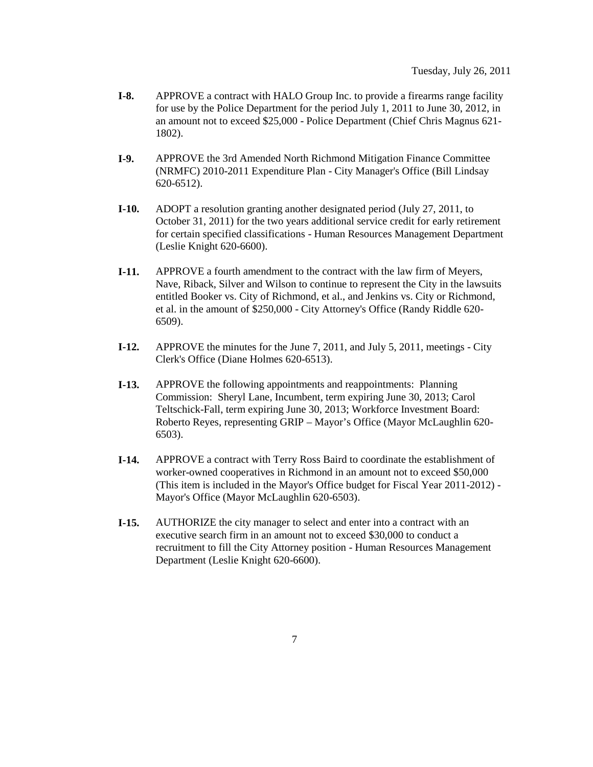- **I-8.** APPROVE a contract with HALO Group Inc. to provide a firearms range facility for use by the Police Department for the period July 1, 2011 to June 30, 2012, in an amount not to exceed \$25,000 - Police Department (Chief Chris Magnus 621- 1802).
- **I-9.** APPROVE the 3rd Amended North Richmond Mitigation Finance Committee (NRMFC) 2010-2011 Expenditure Plan - City Manager's Office (Bill Lindsay 620-6512).
- **I-10.** ADOPT a resolution granting another designated period (July 27, 2011, to October 31, 2011) for the two years additional service credit for early retirement for certain specified classifications - Human Resources Management Department (Leslie Knight 620-6600).
- **I-11.** APPROVE a fourth amendment to the contract with the law firm of Meyers, Nave, Riback, Silver and Wilson to continue to represent the City in the lawsuits entitled Booker vs. City of Richmond, et al., and Jenkins vs. City or Richmond, et al. in the amount of \$250,000 - City Attorney's Office (Randy Riddle 620- 6509).
- **I-12.** APPROVE the minutes for the June 7, 2011, and July 5, 2011, meetings City Clerk's Office (Diane Holmes 620-6513).
- **I-13.** APPROVE the following appointments and reappointments: Planning Commission: Sheryl Lane, Incumbent, term expiring June 30, 2013; Carol Teltschick-Fall, term expiring June 30, 2013; Workforce Investment Board: Roberto Reyes, representing GRIP – Mayor's Office (Mayor McLaughlin 620- 6503).
- **I-14.** APPROVE a contract with Terry Ross Baird to coordinate the establishment of worker-owned cooperatives in Richmond in an amount not to exceed \$50,000 (This item is included in the Mayor's Office budget for Fiscal Year 2011-2012) - Mayor's Office (Mayor McLaughlin 620-6503).
- **I-15.** AUTHORIZE the city manager to select and enter into a contract with an executive search firm in an amount not to exceed \$30,000 to conduct a recruitment to fill the City Attorney position - Human Resources Management Department (Leslie Knight 620-6600).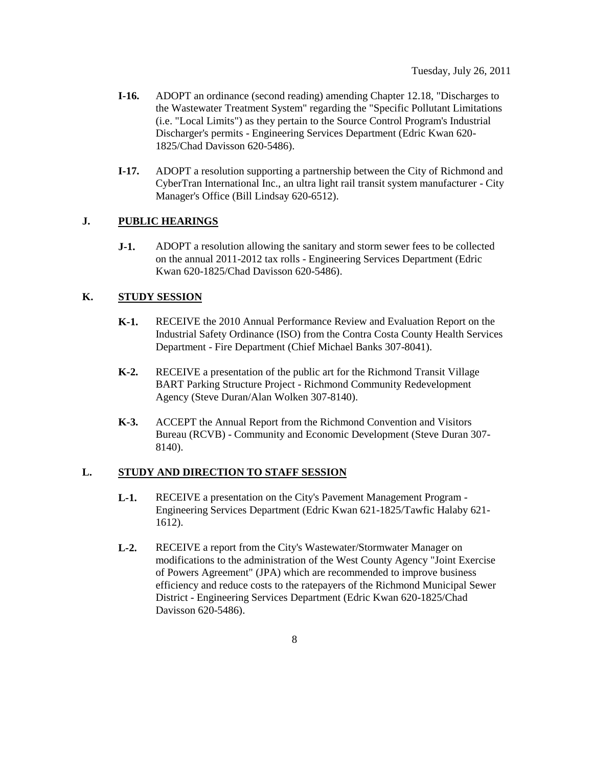- **I-16.** ADOPT an ordinance (second reading) amending Chapter 12.18, "Discharges to the Wastewater Treatment System" regarding the "Specific Pollutant Limitations (i.e. "Local Limits") as they pertain to the Source Control Program's Industrial Discharger's permits - Engineering Services Department (Edric Kwan 620- 1825/Chad Davisson 620-5486).
- **I-17.** ADOPT a resolution supporting a partnership between the City of Richmond and CyberTran International Inc., an ultra light rail transit system manufacturer - City Manager's Office (Bill Lindsay 620-6512).

#### **J. PUBLIC HEARINGS**

**J-1.** ADOPT a resolution allowing the sanitary and storm sewer fees to be collected on the annual 2011-2012 tax rolls - Engineering Services Department (Edric Kwan 620-1825/Chad Davisson 620-5486).

#### **K. STUDY SESSION**

- **K-1.** RECEIVE the 2010 Annual Performance Review and Evaluation Report on the Industrial Safety Ordinance (ISO) from the Contra Costa County Health Services Department - Fire Department (Chief Michael Banks 307-8041).
- **K-2.** RECEIVE a presentation of the public art for the Richmond Transit Village BART Parking Structure Project - Richmond Community Redevelopment Agency (Steve Duran/Alan Wolken 307-8140).
- **K-3.** ACCEPT the Annual Report from the Richmond Convention and Visitors Bureau (RCVB) - Community and Economic Development (Steve Duran 307- 8140).

#### **L. STUDY AND DIRECTION TO STAFF SESSION**

- **L-1.** RECEIVE a presentation on the City's Pavement Management Program Engineering Services Department (Edric Kwan 621-1825/Tawfic Halaby 621- 1612).
- **L-2.** RECEIVE a report from the City's Wastewater/Stormwater Manager on modifications to the administration of the West County Agency "Joint Exercise of Powers Agreement" (JPA) which are recommended to improve business efficiency and reduce costs to the ratepayers of the Richmond Municipal Sewer District - Engineering Services Department (Edric Kwan 620-1825/Chad Davisson 620-5486).